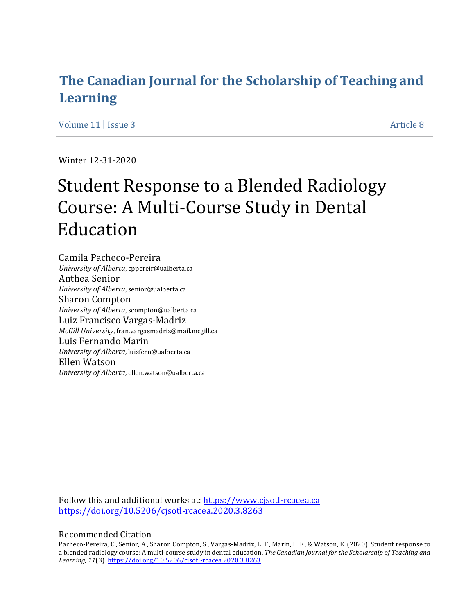# **The Canadian Journal for the Scholarship of Teaching and Learning**

Volume 11 | Issue 3 Article 8

Winter 12-31-2020

# Student Response to a Blended Radiology Course: A Multi-Course Study in Dental Education

Camila Pacheco-Pereira *University of Alberta*, cppereir@ualberta.ca Anthea Senior *University of Alberta*, senior@ualberta.ca Sharon Compton *University of Alberta*, scompton@ualberta.ca Luiz Francisco Vargas-Madriz *McGill University*, fran.vargasmadriz@mail.mcgill.ca Luis Fernando Marin *University of Alberta*, luisfern@ualberta.ca Ellen Watson *University of Alberta*, ellen.watson@ualberta.ca

Follow this and additional works at: https://www.cjsotl-rcacea.ca <https://doi.org/10.5206/cjsotl-rcacea.2020.3.8263>

# Recommended Citation

Pacheco-Pereira, C., Senior, A., Sharon Compton, S., Vargas-Madriz, L. F., Marin, L. F., & Watson, E. (2020). Student response to a blended radiology course: A multi-course study in dental education. *The Canadian Journal for the Scholarship of Teaching and Learning, 11*(3). <https://doi.org/10.5206/cjsotl-rcacea.2020.3.8263>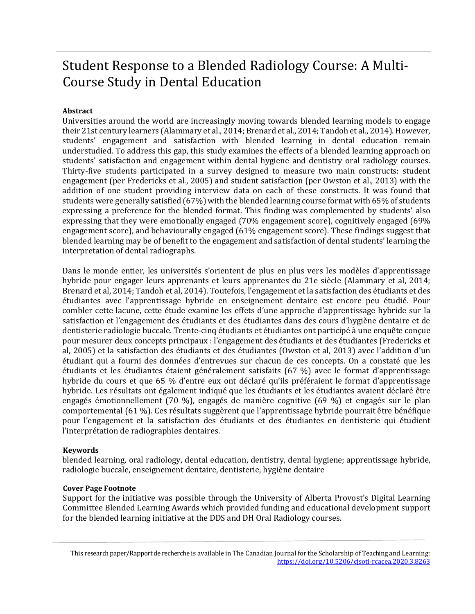# Student Response to a Blended Radiology Course: A Multi-Course Study in Dental Education

# **Abstract**

Universities around the world are increasingly moving towards blended learning models to engage their 21st century learners (Alammary et al., 2014; Brenard et al., 2014; Tandoh et al., 2014). However, students' engagement and satisfaction with blended learning in dental education remain understudied. To address this gap, this study examines the effects of a blended learning approach on students' satisfaction and engagement within dental hygiene and dentistry oral radiology courses. Thirty-five students participated in a survey designed to measure two main constructs: student engagement (per Fredericks et al., 2005) and student satisfaction (per Owston et al., 2013) with the addition of one student providing interview data on each of these constructs. It was found that students were generally satisfied (67%) with the blended learning course format with 65% of students expressing a preference for the blended format. This finding was complemented by students' also expressing that they were emotionally engaged (70% engagement score), cognitively engaged (69% engagement score), and behaviourally engaged (61% engagement score). These findings suggest that blended learning may be of benefit to the engagement and satisfaction of dental students' learning the interpretation of dental radiographs.

Dans le monde entier, les universités s'orientent de plus en plus vers les modèles d'apprentissage hybride pour engager leurs apprenants et leurs apprenantes du 21e siècle (Alammary et al, 2014; Brenard et al, 2014; Tandoh et al, 2014). Toutefois, l'engagement et la satisfaction des étudiants et des étudiantes avec l'apprentissage hybride en enseignement dentaire est encore peu étudié. Pour combler cette lacune, cette étude examine les effets d'une approche d'apprentissage hybride sur la satisfaction et l'engagement des étudiants et des étudiantes dans des cours d'hygiène dentaire et de dentisterie radiologie buccale. Trente-cinq étudiants et étudiantes ont participé à une enquête conçue pour mesurer deux concepts principaux : l'engagement des étudiants et des étudiantes (Fredericks et al, 2005) et la satisfaction des étudiants et des étudiantes (Owston et al, 2013) avec l'addition d'un étudiant qui a fourni des données d'entrevues sur chacun de ces concepts. On a constaté que les étudiants et les étudiantes étaient généralement satisfaits (67 %) avec le format d'apprentissage hybride du cours et que 65 % d'entre eux ont déclaré qu'ils préféraient le format d'apprentissage hybride. Les résultats ont également indiqué que les étudiants et les étudiantes avaient déclaré être engagés émotionnellement (70 %), engagés de manière cognitive (69 %) et engagés sur le plan comportemental (61 %). Ces résultats suggèrent que l'apprentissage hybride pourrait être bénéfique pour l'engagement et la satisfaction des étudiants et des étudiantes en dentisterie qui étudient l'interprétation de radiographies dentaires.

# **Keywords**

blended learning, oral radiology, dental education, dentistry, dental hygiene; apprentissage hybride, radiologie buccale, enseignement dentaire, dentisterie, hygiène dentaire

# **Cover Page Footnote**

Support for the initiative was possible through the University of Alberta Provost's Digital Learning Committee Blended Learning Awards which provided funding and educational development support for the blended learning initiative at the DDS and DH Oral Radiology courses.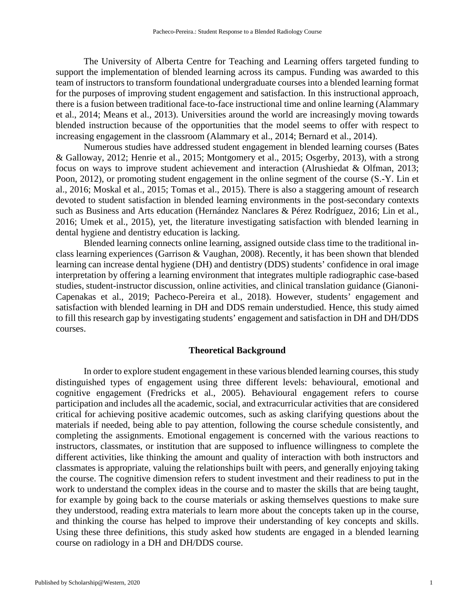The University of Alberta Centre for Teaching and Learning offers targeted funding to support the implementation of blended learning across its campus. Funding was awarded to this team of instructors to transform foundational undergraduate courses into a blended learning format for the purposes of improving student engagement and satisfaction. In this instructional approach, there is a fusion between traditional face-to-face instructional time and online learning (Alammary et al., 2014; Means et al., 2013). Universities around the world are increasingly moving towards blended instruction because of the opportunities that the model seems to offer with respect to increasing engagement in the classroom (Alammary et al., 2014; Bernard et al., 2014).

Numerous studies have addressed student engagement in blended learning courses (Bates & Galloway, 2012; Henrie et al., 2015; Montgomery et al., 2015; Osgerby, 2013), with a strong focus on ways to improve student achievement and interaction (Alrushiedat & Olfman, 2013; Poon, 2012), or promoting student engagement in the online segment of the course (S.-Y. Lin et al., 2016; Moskal et al., 2015; Tomas et al., 2015). There is also a staggering amount of research devoted to student satisfaction in blended learning environments in the post-secondary contexts such as Business and Arts education (Hernández Nanclares & Pérez Rodríguez, 2016; Lin et al., 2016; Umek et al., 2015), yet, the literature investigating satisfaction with blended learning in dental hygiene and dentistry education is lacking.

Blended learning connects online learning, assigned outside class time to the traditional inclass learning experiences (Garrison & Vaughan, 2008). Recently, it has been shown that blended learning can increase dental hygiene (DH) and dentistry (DDS) students' confidence in oral image interpretation by offering a learning environment that integrates multiple radiographic case-based studies, student-instructor discussion, online activities, and clinical translation guidance (Gianoni-Capenakas et al., 2019; Pacheco-Pereira et al., 2018). However, students' engagement and satisfaction with blended learning in DH and DDS remain understudied. Hence, this study aimed to fill this research gap by investigating students' engagement and satisfaction in DH and DH/DDS courses.

#### **Theoretical Background**

In order to explore student engagement in these various blended learning courses, this study distinguished types of engagement using three different levels: behavioural, emotional and cognitive engagement (Fredricks et al., 2005). Behavioural engagement refers to course participation and includes all the academic, social, and extracurricular activities that are considered critical for achieving positive academic outcomes, such as asking clarifying questions about the materials if needed, being able to pay attention, following the course schedule consistently, and completing the assignments. Emotional engagement is concerned with the various reactions to instructors, classmates, or institution that are supposed to influence willingness to complete the different activities, like thinking the amount and quality of interaction with both instructors and classmates is appropriate, valuing the relationships built with peers, and generally enjoying taking the course. The cognitive dimension refers to student investment and their readiness to put in the work to understand the complex ideas in the course and to master the skills that are being taught, for example by going back to the course materials or asking themselves questions to make sure they understood, reading extra materials to learn more about the concepts taken up in the course, and thinking the course has helped to improve their understanding of key concepts and skills. Using these three definitions, this study asked how students are engaged in a blended learning course on radiology in a DH and DH/DDS course.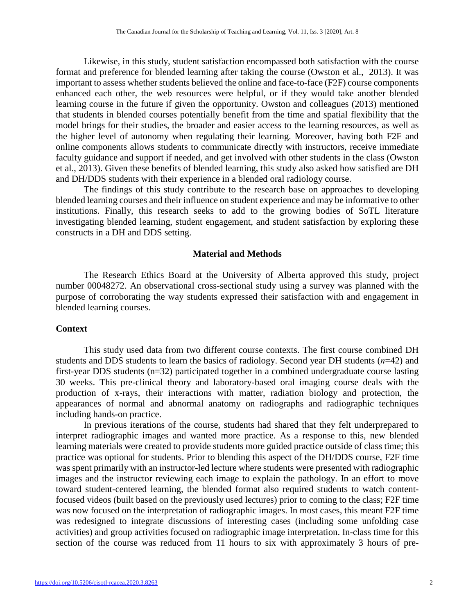Likewise, in this study, student satisfaction encompassed both satisfaction with the course format and preference for blended learning after taking the course (Owston et al., 2013). It was important to assess whether students believed the online and face-to-face (F2F) course components enhanced each other, the web resources were helpful, or if they would take another blended learning course in the future if given the opportunity. Owston and colleagues (2013) mentioned that students in blended courses potentially benefit from the time and spatial flexibility that the model brings for their studies, the broader and easier access to the learning resources, as well as the higher level of autonomy when regulating their learning. Moreover, having both F2F and online components allows students to communicate directly with instructors, receive immediate faculty guidance and support if needed, and get involved with other students in the class (Owston et al., 2013). Given these benefits of blended learning, this study also asked how satisfied are DH and DH/DDS students with their experience in a blended oral radiology course.

The findings of this study contribute to the research base on approaches to developing blended learning courses and their influence on student experience and may be informative to other institutions. Finally, this research seeks to add to the growing bodies of SoTL literature investigating blended learning, student engagement, and student satisfaction by exploring these constructs in a DH and DDS setting.

# **Material and Methods**

The Research Ethics Board at the University of Alberta approved this study, project number 00048272. An observational cross-sectional study using a survey was planned with the purpose of corroborating the way students expressed their satisfaction with and engagement in blended learning courses.

# **Context**

This study used data from two different course contexts. The first course combined DH students and DDS students to learn the basics of radiology. Second year DH students (*n*=42) and first-year DDS students (n=32) participated together in a combined undergraduate course lasting 30 weeks. This pre-clinical theory and laboratory-based oral imaging course deals with the production of x-rays, their interactions with matter, radiation biology and protection, the appearances of normal and abnormal anatomy on radiographs and radiographic techniques including hands-on practice.

In previous iterations of the course, students had shared that they felt underprepared to interpret radiographic images and wanted more practice. As a response to this, new blended learning materials were created to provide students more guided practice outside of class time; this practice was optional for students. Prior to blending this aspect of the DH/DDS course, F2F time was spent primarily with an instructor-led lecture where students were presented with radiographic images and the instructor reviewing each image to explain the pathology. In an effort to move toward student-centered learning, the blended format also required students to watch contentfocused videos (built based on the previously used lectures) prior to coming to the class; F2F time was now focused on the interpretation of radiographic images. In most cases, this meant F2F time was redesigned to integrate discussions of interesting cases (including some unfolding case activities) and group activities focused on radiographic image interpretation. In-class time for this section of the course was reduced from 11 hours to six with approximately 3 hours of pre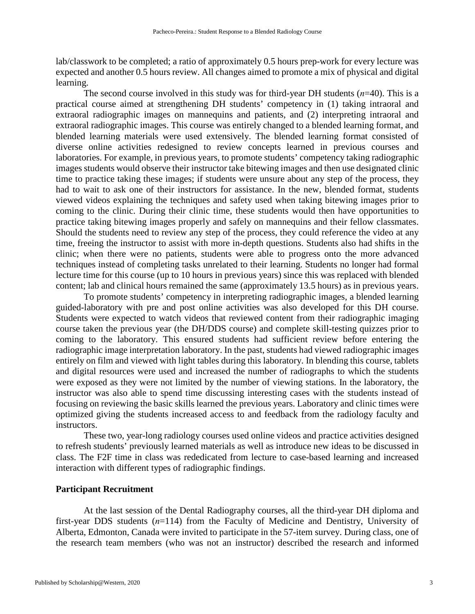lab/classwork to be completed; a ratio of approximately 0.5 hours prep-work for every lecture was expected and another 0.5 hours review. All changes aimed to promote a mix of physical and digital learning.

The second course involved in this study was for third-year DH students (*n*=40). This is a practical course aimed at strengthening DH students' competency in (1) taking intraoral and extraoral radiographic images on mannequins and patients, and (2) interpreting intraoral and extraoral radiographic images. This course was entirely changed to a blended learning format, and blended learning materials were used extensively. The blended learning format consisted of diverse online activities redesigned to review concepts learned in previous courses and laboratories. For example, in previous years, to promote students' competency taking radiographic images students would observe their instructor take bitewing images and then use designated clinic time to practice taking these images; if students were unsure about any step of the process, they had to wait to ask one of their instructors for assistance. In the new, blended format, students viewed videos explaining the techniques and safety used when taking bitewing images prior to coming to the clinic. During their clinic time, these students would then have opportunities to practice taking bitewing images properly and safely on mannequins and their fellow classmates. Should the students need to review any step of the process, they could reference the video at any time, freeing the instructor to assist with more in-depth questions. Students also had shifts in the clinic; when there were no patients, students were able to progress onto the more advanced techniques instead of completing tasks unrelated to their learning. Students no longer had formal lecture time for this course (up to 10 hours in previous years) since this was replaced with blended content; lab and clinical hours remained the same (approximately 13.5 hours) as in previous years.

To promote students' competency in interpreting radiographic images, a blended learning guided-laboratory with pre and post online activities was also developed for this DH course. Students were expected to watch videos that reviewed content from their radiographic imaging course taken the previous year (the DH/DDS course) and complete skill-testing quizzes prior to coming to the laboratory. This ensured students had sufficient review before entering the radiographic image interpretation laboratory. In the past, students had viewed radiographic images entirely on film and viewed with light tables during this laboratory. In blending this course, tablets and digital resources were used and increased the number of radiographs to which the students were exposed as they were not limited by the number of viewing stations. In the laboratory, the instructor was also able to spend time discussing interesting cases with the students instead of focusing on reviewing the basic skills learned the previous years. Laboratory and clinic times were optimized giving the students increased access to and feedback from the radiology faculty and instructors.

These two, year-long radiology courses used online videos and practice activities designed to refresh students' previously learned materials as well as introduce new ideas to be discussed in class. The F2F time in class was rededicated from lecture to case-based learning and increased interaction with different types of radiographic findings.

#### **Participant Recruitment**

At the last session of the Dental Radiography courses, all the third-year DH diploma and first-year DDS students (*n*=114) from the Faculty of Medicine and Dentistry, University of Alberta, Edmonton, Canada were invited to participate in the 57-item survey. During class, one of the research team members (who was not an instructor) described the research and informed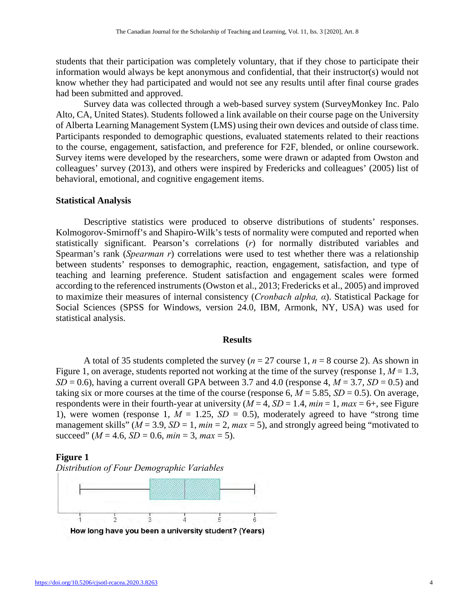students that their participation was completely voluntary, that if they chose to participate their information would always be kept anonymous and confidential, that their instructor(s) would not know whether they had participated and would not see any results until after final course grades had been submitted and approved.

Survey data was collected through a web-based survey system (SurveyMonkey Inc. Palo Alto, CA, United States). Students followed a link available on their course page on the University of Alberta Learning Management System (LMS) using their own devices and outside of class time. Participants responded to demographic questions, evaluated statements related to their reactions to the course, engagement, satisfaction, and preference for F2F, blended, or online coursework. Survey items were developed by the researchers, some were drawn or adapted from Owston and colleagues' survey (2013), and others were inspired by Fredericks and colleagues' (2005) list of behavioral, emotional, and cognitive engagement items.

#### **Statistical Analysis**

Descriptive statistics were produced to observe distributions of students' responses. Kolmogorov-Smirnoff's and Shapiro-Wilk's tests of normality were computed and reported when statistically significant. Pearson's correlations (*r*) for normally distributed variables and Spearman's rank (*Spearman r*) correlations were used to test whether there was a relationship between students' responses to demographic, reaction, engagement, satisfaction, and type of teaching and learning preference. Student satisfaction and engagement scales were formed according to the referenced instruments (Owston et al., 2013; Fredericks et al., 2005) and improved to maximize their measures of internal consistency (*Cronbach alpha, α*). Statistical Package for Social Sciences (SPSS for Windows, version 24.0, IBM, Armonk, NY, USA) was used for statistical analysis.

# **Results**

A total of 35 students completed the survey ( $n = 27$  course 1,  $n = 8$  course 2). As shown in Figure 1, on average, students reported not working at the time of the survey (response  $1, M = 1.3$ ,  $SD = 0.6$ ), having a current overall GPA between 3.7 and 4.0 (response 4,  $M = 3.7$ ,  $SD = 0.5$ ) and taking six or more courses at the time of the course (response 6,  $M = 5.85$ ,  $SD = 0.5$ ). On average, respondents were in their fourth-year at university  $(M = 4, SD = 1.4, min = 1, max = 6+,$  see Figure 1), were women (response 1,  $M = 1.25$ ,  $SD = 0.5$ ), moderately agreed to have "strong time" management skills" ( $M = 3.9$ ,  $SD = 1$ ,  $min = 2$ ,  $max = 5$ ), and strongly agreed being "motivated to succeed"  $(M = 4.6, SD = 0.6, min = 3, max = 5)$ .

#### **Figure 1**



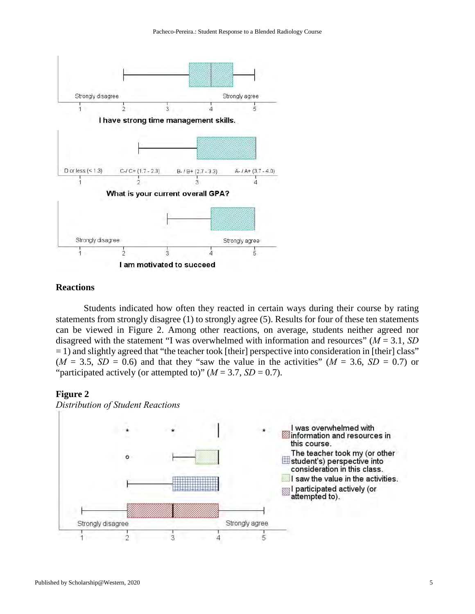

# **Reactions**

Students indicated how often they reacted in certain ways during their course by rating statements from strongly disagree (1) to strongly agree (5). Results for four of these ten statements can be viewed in Figure 2. Among other reactions, on average, students neither agreed nor disagreed with the statement "I was overwhelmed with information and resources" (*M* = 3.1, *SD*   $=$  1) and slightly agreed that "the teacher took [their] perspective into consideration in [their] class"  $(M = 3.5, SD = 0.6)$  and that they "saw the value in the activities"  $(M = 3.6, SD = 0.7)$  or "participated actively (or attempted to)"  $(M = 3.7, SD = 0.7)$ .

# **Figure 2**

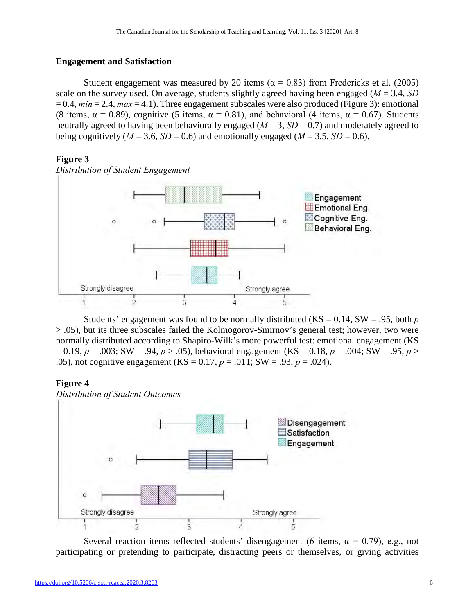# **Engagement and Satisfaction**

Student engagement was measured by 20 items ( $\alpha = 0.83$ ) from Fredericks et al. (2005) scale on the survey used. On average, students slightly agreed having been engaged (*M* = 3.4, *SD*  $= 0.4$ ,  $min = 2.4$ ,  $max = 4.1$ ). Three engagement subscales were also produced (Figure 3): emotional (8 items,  $\alpha = 0.89$ ), cognitive (5 items,  $\alpha = 0.81$ ), and behavioral (4 items,  $\alpha = 0.67$ ). Students neutrally agreed to having been behaviorally engaged ( $M = 3$ ,  $SD = 0.7$ ) and moderately agreed to being cognitively ( $M = 3.6$ ,  $SD = 0.6$ ) and emotionally engaged ( $M = 3.5$ ,  $SD = 0.6$ ).

# **Figure 3**

*Distribution of Student Engagement*



Students' engagement was found to be normally distributed (KS = 0.14, SW = .95, both *p* > .05), but its three subscales failed the Kolmogorov-Smirnov's general test; however, two were normally distributed according to Shapiro-Wilk's more powerful test: emotional engagement (KS  $p = 0.19$ ,  $p = .003$ ; SW = .94,  $p > .05$ ), behavioral engagement (KS = 0.18,  $p = .004$ ; SW = .95,  $p >$ .05), not cognitive engagement (KS = 0.17, *p* = .011; SW = .93, *p* = .024).

# **Figure 4**

*Distribution of Student Outcomes*



Several reaction items reflected students' disengagement (6 items,  $\alpha = 0.79$ ), e.g., not participating or pretending to participate, distracting peers or themselves, or giving activities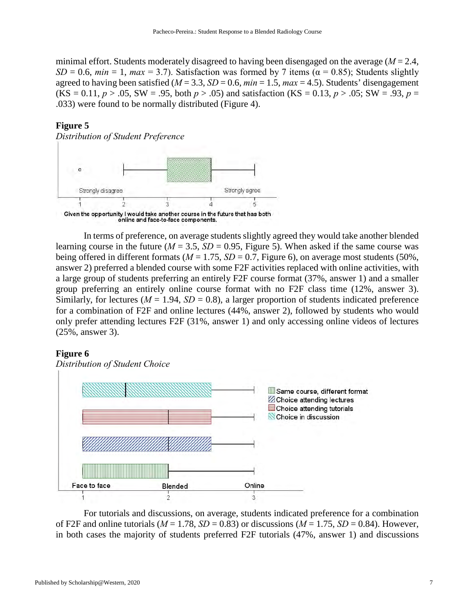minimal effort. Students moderately disagreed to having been disengaged on the average (*M* = 2.4, *SD* = 0.6, *min* = 1, *max* = 3.7). Satisfaction was formed by 7 items ( $\alpha$  = 0.85); Students slightly agreed to having been satisfied ( $M = 3.3$ ,  $SD = 0.6$ ,  $min = 1.5$ ,  $max = 4.5$ ). Students' disengagement  $(KS = 0.11, p > .05, SW = .95, both p > .05)$  and satisfaction  $(KS = 0.13, p > .05; SW = .93, p = .05)$ .033) were found to be normally distributed (Figure 4).

# **Figure 5**



In terms of preference, on average students slightly agreed they would take another blended learning course in the future ( $M = 3.5$ ,  $SD = 0.95$ , Figure 5). When asked if the same course was being offered in different formats ( $M = 1.75$ ,  $SD = 0.7$ , Figure 6), on average most students (50%, answer 2) preferred a blended course with some F2F activities replaced with online activities, with a large group of students preferring an entirely F2F course format (37%, answer 1) and a smaller group preferring an entirely online course format with no F2F class time (12%, answer 3). Similarly, for lectures ( $M = 1.94$ ,  $SD = 0.8$ ), a larger proportion of students indicated preference for a combination of F2F and online lectures (44%, answer 2), followed by students who would only prefer attending lectures F2F (31%, answer 1) and only accessing online videos of lectures (25%, answer 3).

# **Figure 6**



For tutorials and discussions, on average, students indicated preference for a combination of F2F and online tutorials ( $M = 1.78$ ,  $SD = 0.83$ ) or discussions ( $M = 1.75$ ,  $SD = 0.84$ ). However, in both cases the majority of students preferred F2F tutorials (47%, answer 1) and discussions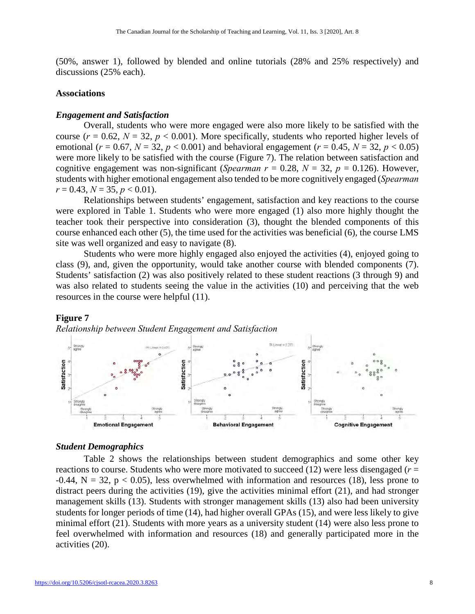(50%, answer 1), followed by blended and online tutorials (28% and 25% respectively) and discussions (25% each).

#### **Associations**

# *Engagement and Satisfaction*

Overall, students who were more engaged were also more likely to be satisfied with the course ( $r = 0.62$ ,  $N = 32$ ,  $p < 0.001$ ). More specifically, students who reported higher levels of emotional ( $r = 0.67$ ,  $N = 32$ ,  $p < 0.001$ ) and behavioral engagement ( $r = 0.45$ ,  $N = 32$ ,  $p < 0.05$ ) were more likely to be satisfied with the course (Figure 7). The relation between satisfaction and cognitive engagement was non-significant (*Spearman*  $r = 0.28$ ,  $N = 32$ ,  $p = 0.126$ ). However, students with higher emotional engagement also tended to be more cognitively engaged (*Spearman*   $r = 0.43, N = 35, p < 0.01$ .

Relationships between students' engagement, satisfaction and key reactions to the course were explored in Table 1. Students who were more engaged (1) also more highly thought the teacher took their perspective into consideration (3), thought the blended components of this course enhanced each other (5), the time used for the activities was beneficial (6), the course LMS site was well organized and easy to navigate (8).

Students who were more highly engaged also enjoyed the activities (4), enjoyed going to class (9), and, given the opportunity, would take another course with blended components (7). Students' satisfaction (2) was also positively related to these student reactions (3 through 9) and was also related to students seeing the value in the activities (10) and perceiving that the web resources in the course were helpful (11).

#### **Figure 7**

*Relationship between Student Engagement and Satisfaction* 



#### *Student Demographics*

Table 2 shows the relationships between student demographics and some other key reactions to course. Students who were more motivated to succeed (12) were less disengaged (*r* =  $-0.44$ ,  $N = 32$ ,  $p < 0.05$ ), less overwhelmed with information and resources (18), less prone to distract peers during the activities (19), give the activities minimal effort (21), and had stronger management skills (13). Students with stronger management skills (13) also had been university students for longer periods of time (14), had higher overall GPAs (15), and were less likely to give minimal effort (21). Students with more years as a university student (14) were also less prone to feel overwhelmed with information and resources (18) and generally participated more in the activities (20).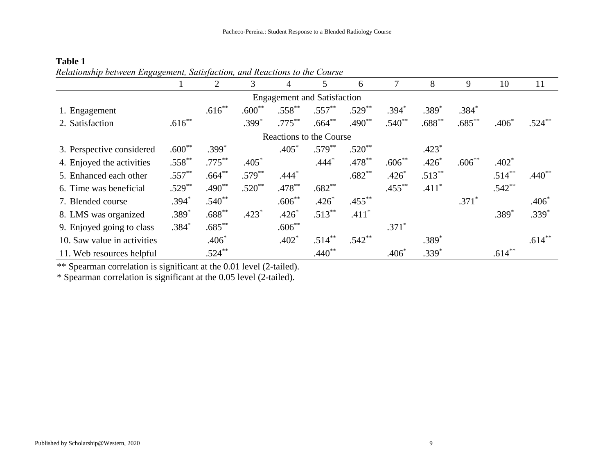| Retationship between Engagement, Satisfaction, and Reactions to the Course |           | 2         | 3         | 4         | 5         | 6         |           | 8         | 9         | 10        | 11        |  |  |
|----------------------------------------------------------------------------|-----------|-----------|-----------|-----------|-----------|-----------|-----------|-----------|-----------|-----------|-----------|--|--|
| <b>Engagement and Satisfaction</b>                                         |           |           |           |           |           |           |           |           |           |           |           |  |  |
| 1. Engagement                                                              |           | $.616***$ | $.600**$  | $.558***$ | $.557***$ | $.529***$ | $.394*$   | $.389*$   | $.384*$   |           |           |  |  |
| 2. Satisfaction                                                            | $.616***$ |           | $.399*$   | $.775***$ | $.664***$ | $.490**$  | $.540**$  | $.688**$  | $.685***$ | $.406*$   | $.524***$ |  |  |
| Reactions to the Course                                                    |           |           |           |           |           |           |           |           |           |           |           |  |  |
| 3. Perspective considered                                                  | $.600**$  | $.399*$   |           | $.405*$   | $.579***$ | $.520**$  |           | $.423*$   |           |           |           |  |  |
| 4. Enjoyed the activities                                                  | $.558***$ | $.775***$ | $.405*$   |           | $.444*$   | $.478***$ | $.606**$  | $.426*$   | $.606**$  | $.402*$   |           |  |  |
| 5. Enhanced each other                                                     | $.557***$ | $.664***$ | $.579***$ | $.444*$   |           | $.682**$  | $.426*$   | $.513***$ |           | $.514***$ | $.440**$  |  |  |
| 6. Time was beneficial                                                     | $.529***$ | $.490**$  | $.520**$  | $.478***$ | $.682**$  |           | $.455***$ | $.411*$   |           | $.542**$  |           |  |  |
| 7. Blended course                                                          | $.394*$   | $.540**$  |           | $.606**$  | $.426*$   | $.455***$ |           |           | $.371*$   |           | $.406*$   |  |  |
| 8. LMS was organized                                                       | $.389*$   | $.688***$ | $.423*$   | $.426*$   | $.513***$ | $.411*$   |           |           |           | $.389*$   | $.339*$   |  |  |
| 9. Enjoyed going to class                                                  | $.384*$   | $.685***$ |           | $.606**$  |           |           | $.371*$   |           |           |           |           |  |  |
| 10. Saw value in activities                                                |           | $.406*$   |           | $.402*$   | $.514***$ | $.542**$  |           | $.389*$   |           |           | $.614***$ |  |  |
| 11. Web resources helpful                                                  |           | $.524***$ |           |           | $.440**$  |           | $.406*$   | $.339*$   |           | $.614***$ |           |  |  |

# **Table 1**  *Relationship between Engagement, Satisfaction, and Reactions to the Course*

\*\* Spearman correlation is significant at the 0.01 level (2-tailed).

\* Spearman correlation is significant at the 0.05 level (2-tailed).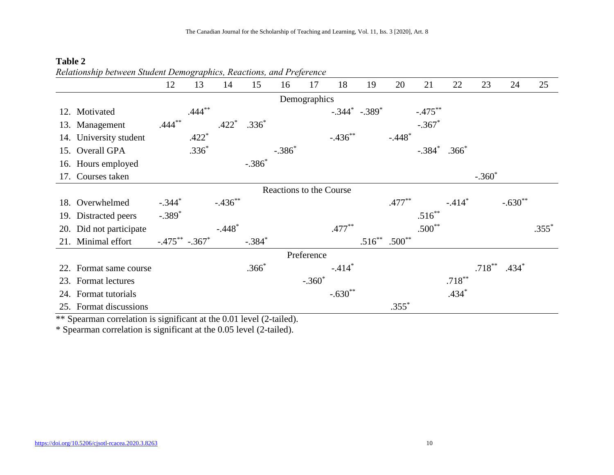|                         |                        | 12                  | 13        | 14         | 15       | 16       | 17       | 18                  | 19        | 20        | 21                   | 22        | 23        | 24        | 25      |
|-------------------------|------------------------|---------------------|-----------|------------|----------|----------|----------|---------------------|-----------|-----------|----------------------|-----------|-----------|-----------|---------|
| Demographics            |                        |                     |           |            |          |          |          |                     |           |           |                      |           |           |           |         |
|                         | 12. Motivated          |                     | $.444***$ |            |          |          |          | $-.344^*$ $-.389^*$ |           |           | $-.475***$           |           |           |           |         |
| 13.                     | Management             | $.444***$           |           | $.422*$    | $.336*$  |          |          |                     |           |           | $-.367*$             |           |           |           |         |
| 14.                     | University student     |                     | $.422*$   |            |          |          |          | $-.436***$          |           | $-.448*$  |                      |           |           |           |         |
| 15.                     | Overall GPA            |                     | $.336*$   |            |          | $-.386*$ |          |                     |           |           | $-.384$ <sup>*</sup> | $.366*$   |           |           |         |
|                         | 16. Hours employed     |                     |           |            | $-.386*$ |          |          |                     |           |           |                      |           |           |           |         |
| 17.                     | Courses taken          |                     |           |            |          |          |          |                     |           |           |                      |           | $-.360^*$ |           |         |
| Reactions to the Course |                        |                     |           |            |          |          |          |                     |           |           |                      |           |           |           |         |
| 18.                     | Overwhelmed            | $-.344*$            |           | $-.436***$ |          |          |          |                     |           | $.477***$ |                      | $-.414*$  |           | $-.630**$ |         |
|                         | 19. Distracted peers   | $-.389*$            |           |            |          |          |          |                     |           |           | $.516***$            |           |           |           |         |
| 20.                     | Did not participate    |                     |           | $-.448*$   |          |          |          | $.477***$           |           |           | $.500**$             |           |           |           | $.355*$ |
|                         | 21. Minimal effort     | $-.475***$ $-.367*$ |           |            | $-.384*$ |          |          |                     | $.516***$ | $.500**$  |                      |           |           |           |         |
| Preference              |                        |                     |           |            |          |          |          |                     |           |           |                      |           |           |           |         |
| 22.                     | Format same course     |                     |           |            | $.366*$  |          |          | $-.414*$            |           |           |                      |           | $.718***$ | $.434*$   |         |
| 23.                     | Format lectures        |                     |           |            |          |          | $-.360*$ |                     |           |           |                      | $.718***$ |           |           |         |
|                         | 24. Format tutorials   |                     |           |            |          |          |          | $-.630**$           |           |           |                      | $.434*$   |           |           |         |
|                         | 25. Format discussions |                     |           |            |          |          |          |                     |           | $.355*$   |                      |           |           |           |         |

# **Table 2** *Relationship between Student Demographics, Reactions, and Preference*

\*\* Spearman correlation is significant at the 0.01 level (2-tailed).

\* Spearman correlation is significant at the 0.05 level (2-tailed).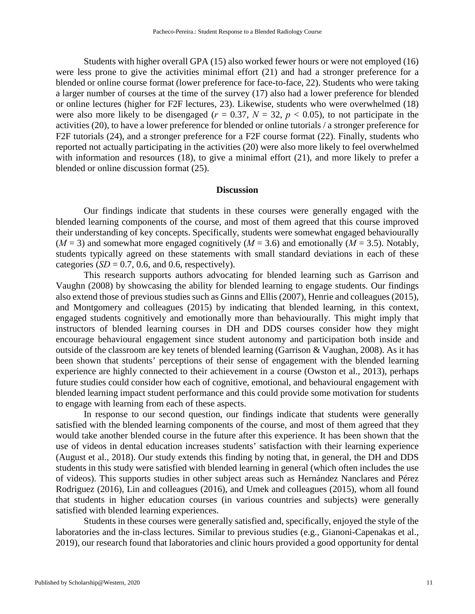Students with higher overall GPA (15) also worked fewer hours or were not employed (16) were less prone to give the activities minimal effort (21) and had a stronger preference for a blended or online course format (lower preference for face-to-face, 22). Students who were taking a larger number of courses at the time of the survey (17) also had a lower preference for blended or online lectures (higher for F2F lectures, 23). Likewise, students who were overwhelmed (18) were also more likely to be disengaged ( $r = 0.37$ ,  $N = 32$ ,  $p < 0.05$ ), to not participate in the activities (20), to have a lower preference for blended or online tutorials / a stronger preference for F2F tutorials (24), and a stronger preference for a F2F course format (22). Finally, students who reported not actually participating in the activities (20) were also more likely to feel overwhelmed with information and resources (18), to give a minimal effort (21), and more likely to prefer a blended or online discussion format (25).

#### **Discussion**

Our findings indicate that students in these courses were generally engaged with the blended learning components of the course, and most of them agreed that this course improved their understanding of key concepts. Specifically, students were somewhat engaged behaviourally  $(M = 3)$  and somewhat more engaged cognitively  $(M = 3.6)$  and emotionally  $(M = 3.5)$ . Notably, students typically agreed on these statements with small standard deviations in each of these categories  $(SD = 0.7, 0.6, \text{ and } 0.6, \text{ respectively}).$ 

This research supports authors advocating for blended learning such as Garrison and Vaughn (2008) by showcasing the ability for blended learning to engage students. Our findings also extend those of previous studies such as Ginns and Ellis (2007), Henrie and colleagues (2015), and Montgomery and colleagues (2015) by indicating that blended learning, in this context, engaged students cognitively and emotionally more than behaviourally. This might imply that instructors of blended learning courses in DH and DDS courses consider how they might encourage behavioural engagement since student autonomy and participation both inside and outside of the classroom are key tenets of blended learning (Garrison & Vaughan, 2008). As it has been shown that students' perceptions of their sense of engagement with the blended learning experience are highly connected to their achievement in a course (Owston et al., 2013), perhaps future studies could consider how each of cognitive, emotional, and behavioural engagement with blended learning impact student performance and this could provide some motivation for students to engage with learning from each of these aspects.

In response to our second question, our findings indicate that students were generally satisfied with the blended learning components of the course, and most of them agreed that they would take another blended course in the future after this experience. It has been shown that the use of videos in dental education increases students' satisfaction with their learning experience (August et al., 2018). Our study extends this finding by noting that, in general, the DH and DDS students in this study were satisfied with blended learning in general (which often includes the use of videos). This supports studies in other subject areas such as Hernández Nanclares and Pérez Rodriguez (2016), Lin and colleagues (2016), and Umek and colleagues (2015), whom all found that students in higher education courses (in various countries and subjects) were generally satisfied with blended learning experiences.

Students in these courses were generally satisfied and, specifically, enjoyed the style of the laboratories and the in-class lectures. Similar to previous studies (e.g., Gianoni-Capenakas et al., 2019), our research found that laboratories and clinic hours provided a good opportunity for dental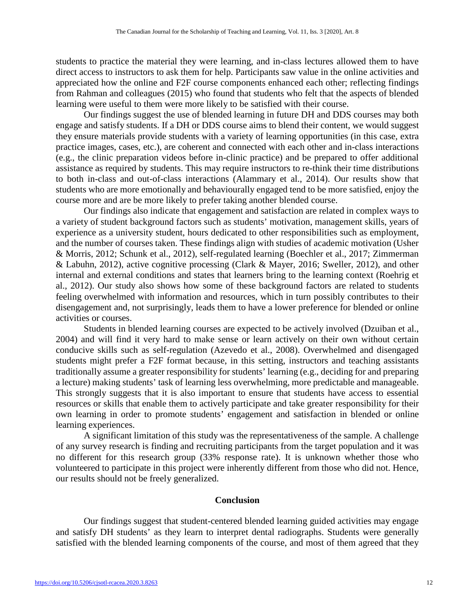students to practice the material they were learning, and in-class lectures allowed them to have direct access to instructors to ask them for help. Participants saw value in the online activities and appreciated how the online and F2F course components enhanced each other; reflecting findings from Rahman and colleagues (2015) who found that students who felt that the aspects of blended learning were useful to them were more likely to be satisfied with their course.

Our findings suggest the use of blended learning in future DH and DDS courses may both engage and satisfy students. If a DH or DDS course aims to blend their content, we would suggest they ensure materials provide students with a variety of learning opportunities (in this case, extra practice images, cases, etc.), are coherent and connected with each other and in-class interactions (e.g., the clinic preparation videos before in-clinic practice) and be prepared to offer additional assistance as required by students. This may require instructors to re-think their time distributions to both in-class and out-of-class interactions (Alammary et al., 2014). Our results show that students who are more emotionally and behaviourally engaged tend to be more satisfied, enjoy the course more and are be more likely to prefer taking another blended course.

Our findings also indicate that engagement and satisfaction are related in complex ways to a variety of student background factors such as students' motivation, management skills, years of experience as a university student, hours dedicated to other responsibilities such as employment, and the number of courses taken. These findings align with studies of academic motivation (Usher & Morris, 2012; Schunk et al., 2012), self-regulated learning (Boechler et al., 2017; Zimmerman & Labuhn, 2012), active cognitive processing (Clark & Mayer, 2016; Sweller, 2012), and other internal and external conditions and states that learners bring to the learning context (Roehrig et al., 2012). Our study also shows how some of these background factors are related to students feeling overwhelmed with information and resources, which in turn possibly contributes to their disengagement and, not surprisingly, leads them to have a lower preference for blended or online activities or courses.

Students in blended learning courses are expected to be actively involved (Dzuiban et al., 2004) and will find it very hard to make sense or learn actively on their own without certain conducive skills such as self-regulation (Azevedo et al., 2008). Overwhelmed and disengaged students might prefer a F2F format because, in this setting, instructors and teaching assistants traditionally assume a greater responsibility for students' learning (e.g., deciding for and preparing a lecture) making students' task of learning less overwhelming, more predictable and manageable. This strongly suggests that it is also important to ensure that students have access to essential resources or skills that enable them to actively participate and take greater responsibility for their own learning in order to promote students' engagement and satisfaction in blended or online learning experiences.

A significant limitation of this study was the representativeness of the sample. A challenge of any survey research is finding and recruiting participants from the target population and it was no different for this research group (33% response rate). It is unknown whether those who volunteered to participate in this project were inherently different from those who did not. Hence, our results should not be freely generalized.

# **Conclusion**

Our findings suggest that student-centered blended learning guided activities may engage and satisfy DH students' as they learn to interpret dental radiographs. Students were generally satisfied with the blended learning components of the course, and most of them agreed that they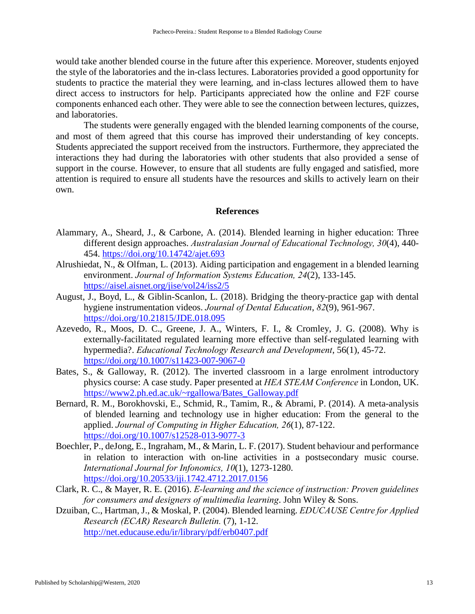would take another blended course in the future after this experience. Moreover, students enjoyed the style of the laboratories and the in-class lectures. Laboratories provided a good opportunity for students to practice the material they were learning, and in-class lectures allowed them to have direct access to instructors for help. Participants appreciated how the online and F2F course components enhanced each other. They were able to see the connection between lectures, quizzes, and laboratories.

The students were generally engaged with the blended learning components of the course, and most of them agreed that this course has improved their understanding of key concepts. Students appreciated the support received from the instructors. Furthermore, they appreciated the interactions they had during the laboratories with other students that also provided a sense of support in the course. However, to ensure that all students are fully engaged and satisfied, more attention is required to ensure all students have the resources and skills to actively learn on their own.

# **References**

- Alammary, A., Sheard, J., & Carbone, A. (2014). Blended learning in higher education: Three different design approaches. *Australasian Journal of Educational Technology, 30*(4), 440- 454.<https://doi.org/10.14742/ajet.693>
- Alrushiedat, N., & Olfman, L. (2013). Aiding participation and engagement in a blended learning environment. *Journal of Information Systems Education, 24*(2), 133-145. <https://aisel.aisnet.org/jise/vol24/iss2/5>
- August, J., Boyd, L., & Giblin-Scanlon, L. (2018). Bridging the theory-practice gap with dental hygiene instrumentation videos. *Journal of Dental Education*, *82*(9), 961-967. <https://doi.org/10.21815/JDE.018.095>
- Azevedo, R., Moos, D. C., Greene, J. A., Winters, F. I., & Cromley, J. G. (2008). Why is externally-facilitated regulated learning more effective than self-regulated learning with hypermedia?. *Educational Technology Research and Development*, 56(1), 45-72. <https://doi.org/10.1007/s11423-007-9067-0>
- Bates, S., & Galloway, R. (2012). The inverted classroom in a large enrolment introductory physics course: A case study. Paper presented at *HEA STEAM Conference* in London, UK. [https://www2.ph.ed.ac.uk/~rgallowa/Bates\\_Galloway.pdf](https://www2.ph.ed.ac.uk/%7Ergallowa/Bates_Galloway.pdf)
- Bernard, R. M., Borokhovski, E., Schmid, R., Tamim, R., & Abrami, P. (2014). A meta-analysis of blended learning and technology use in higher education: From the general to the applied. *Journal of Computing in Higher Education, 26*(1), 87-122. <https://doi.org/10.1007/s12528-013-9077-3>
- Boechler, P., deJong, E., Ingraham, M., & Marin, L. F. (2017). Student behaviour and performance in relation to interaction with on-line activities in a postsecondary music course. *International Journal for Infonomics, 10*(1), 1273-1280. <https://doi.org/10.20533/iji.1742.4712.2017.0156>
- Clark, R. C., & Mayer, R. E. (2016). *E-learning and the science of instruction: Proven guidelines for consumers and designers of multimedia learning*. John Wiley & Sons.
- Dzuiban, C., Hartman, J., & Moskal, P. (2004). Blended learning. *EDUCAUSE Centre for Applied Research (ECAR) Research Bulletin.* (7), 1-12. <http://net.educause.edu/ir/library/pdf/erb0407.pdf>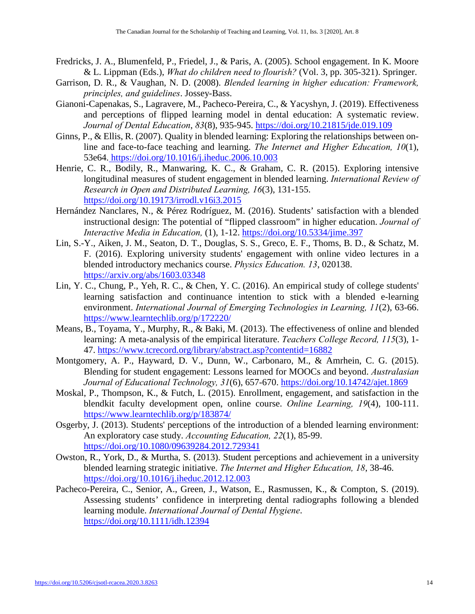- Fredricks, J. A., Blumenfeld, P., Friedel, J., & Paris, A. (2005). School engagement. In K. Moore & L. Lippman (Eds.), *What do children need to flourish?* (Vol. 3, pp. 305-321). Springer.
- Garrison, D. R., & Vaughan, N. D. (2008). *Blended learning in higher education: Framework, principles, and guidelines*. Jossey-Bass.
- Gianoni-Capenakas, S., Lagravere, M., Pacheco-Pereira, C., & Yacyshyn, J. (2019). [Effectiveness](https://www.ncbi.nlm.nih.gov/pubmed/31133621)  [and perceptions of flipped learning model in dental education: A systematic review.](https://www.ncbi.nlm.nih.gov/pubmed/31133621) *Journal of Dental Education*, *83*(8), 935-945.<https://doi.org/10.21815/jde.019.109>
- Ginns, P., & Ellis, R. (2007). Quality in blended learning: Exploring the relationships between online and face-to-face teaching and learning. *The Internet and Higher Education, 10*(1), 53e64[. https://doi.org/10.1016/j.iheduc.2006.10.003](https://doi.org/10.1016/j.iheduc.2006.10.003)
- Henrie, C. R., Bodily, R., Manwaring, K. C., & Graham, C. R. (2015). Exploring intensive longitudinal measures of student engagement in blended learning. *International Review of Research in Open and Distributed Learning, 16*(3), 131-155. <https://doi.org/10.19173/irrodl.v16i3.2015>
- Hernández Nanclares, N., & Pérez Rodríguez, M. (2016). Students' satisfaction with a blended instructional design: The potential of "flipped classroom" in higher education. *Journal of Interactive Media in Education,* (1), 1-12.<https://doi.org/10.5334/jime.397>
- Lin, S.-Y., Aiken, J. M., Seaton, D. T., Douglas, S. S., Greco, E. F., Thoms, B. D., & Schatz, M. F. (2016). Exploring university students' engagement with online video lectures in a blended introductory mechanics course. *Physics Education. 13*, 020138. <https://arxiv.org/abs/1603.03348>
- Lin, Y. C., Chung, P., Yeh, R. C., & Chen, Y. C. (2016). An empirical study of college students' learning satisfaction and continuance intention to stick with a blended e-learning environment. *International Journal of Emerging Technologies in Learning, 11*(2), 63-66. <https://www.learntechlib.org/p/172220/>
- Means, B., Toyama, Y., Murphy, R., & Baki, M. (2013). The effectiveness of online and blended learning: A meta-analysis of the empirical literature. *Teachers College Record, 115*(3), 1- 47.<https://www.tcrecord.org/library/abstract.asp?contentid=16882>
- Montgomery, A. P., Hayward, D. V., Dunn, W., Carbonaro, M., & Amrhein, C. G. (2015). Blending for student engagement: Lessons learned for MOOCs and beyond. *Australasian Journal of Educational Technology, 31*(6), 657-670.<https://doi.org/10.14742/ajet.1869>
- Moskal, P., Thompson, K., & Futch, L. (2015). Enrollment, engagement, and satisfaction in the blendkit faculty development open, online course. *Online Learning, 19*(4), 100-111. <https://www.learntechlib.org/p/183874/>
- Osgerby, J. (2013). Students' perceptions of the introduction of a blended learning environment: An exploratory case study. *Accounting Education, 22*(1), 85-99. <https://doi.org/10.1080/09639284.2012.729341>
- Owston, R., York, D., & Murtha, S. (2013). Student perceptions and achievement in a university blended learning strategic initiative. *The Internet and Higher Education, 18*, 38-46. <https://doi.org/10.1016/j.iheduc.2012.12.003>
- Pacheco-Pereira, C., Senior, A., Green, J., Watson, E., Rasmussen, K., & Compton, S. (2019). Assessing students' confidence in interpreting dental radiographs following a blended learning module. *International Journal of Dental Hygiene*. <https://doi.org/10.1111/idh.12394>